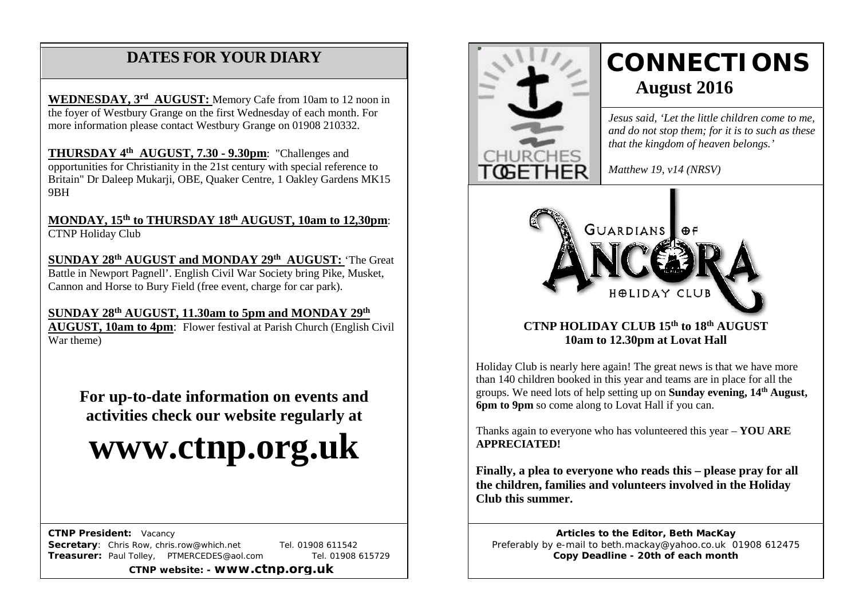# **DATES FOR YOUR DIARY**

 more information please contact Westbury Grange on 01908 210332. **WEDNESDAY, 3rd AUGUST:** Memory Cafe from 10am to 12 noon in the foyer of Westbury Grange on the first Wednesday of each month. For

 /AGM **THURSDAY 4th AUGUST, 7.30 - 9.30pm**: "Challenges and opportunities for Christianity in the 21st century with special reference to Britain" Dr Daleep Mukarji, OBE, Quaker Centre, 1 Oakley Gardens MK15 9BH

**MONDAY, 15th to THURSDAY 18th AUGUST, 10am to 12,30pm**: CTNP Holiday Club

**SUNDAY 28th AUGUST and MONDAY 29th AUGUST:** 'The Great Battle in Newport Pagnell'. English Civil War Society bring Pike, Musket, Cannon and Horse to Bury Field (free event, charge for car park).

#### **SUNDAY 28th AUGUST, 11.30am to 5pm and MONDAY 29th**

**AUGUST, 10am to 4pm**: Flower festival at Parish Church (English Civil War theme)

**For up-to-date information on events and activities check our website regularly at**

# **www.ctnp.org.uk**

 **CTNP President:** Vacancy

**Secretary:** Chris Row, chris.row@which.net Tel. 01908 611542 **Treasurer:** Paul Tolley, PTMERCEDES@aol.com Tel. 01908 615729

**CTNP website: - www.ctnp.org.uk**



Holiday Club is nearly here again! The great news is that we have more than 140 children booked in this year and teams are in place for all the groups. We need lots of help setting up on **Sunday evening, 14th August, 6pm to 9pm** so come along to Lovat Hall if you can.

Thanks again to everyone who has volunteered this year – **YOU ARE APPRECIATED!**

**Finally, a plea to everyone who reads this – please pray for all the children, families and volunteers involved in the Holiday Club this summer.**

**Articles to the Editor, Beth MacKay** Preferably by e-mail to beth.mackay@yahoo.co.uk 01908 612475 **Copy Deadline - 20th of each month**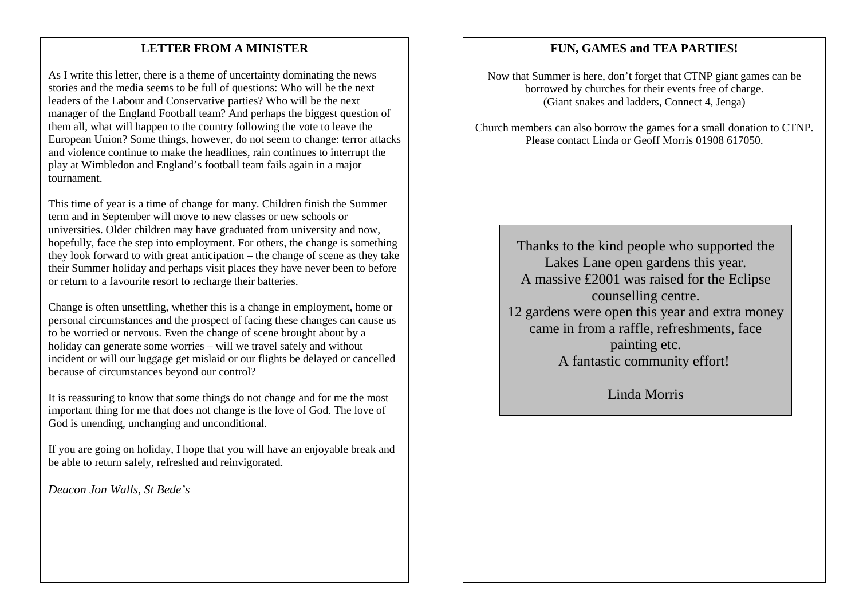#### LETTER FROM A MINISTER

As I write this letter, there is a theme of uncertainty dominating the news stories and the media seems to be full of questions: Who will be the next leaders of the Labour and Conservative parties? Who will be the next manager of the England Football team? And perhaps the biggest question of them all, what will happen to the country following the vote to leave the European Union? Some things, however, do not seem to change: terror attacks and violence continue to make the headlines, rain continues to interrupt the play at Wimbledon and England's football team fails again in a major tournament.

This time of year is a time of change for many. Children finish the Summer term and in September will move to new classes or new schools or universities. Older children may have graduated from university and now, hopefully, face the step into employment. For others, the change is something they look forward to with great anticipation – the change of scene as they take their Summer holiday and perhaps visit places they have never been to before or return to a favourite resort to recharge their batteries.

Change is often unsettling, whether this is a change in employment, home or personal circumstances and the prospect of facing these changes can cause us to be worried or nervous. Even the change of scene brought about by a holiday can generate some worries – will we travel safely and without incident or will our luggage get mislaid or our flights be delayed or cancelled because of circumstances beyond our control?

It is reassuring to know that some things do not change and for me the most important thing for me that does not change is the love of God. The love of God is unending, unchanging and unconditional.

If you are going on holiday, I hope that you will have an enjoyable break and be able to return safely, refreshed and reinvigorated.

*Deacon Jon Walls, St Bede's*

#### **FUN, GAMES and TEA PARTIES!**

Now that Summer is here, don't forget that CTNP giant games can be borrowed by churches for their events free of charge. (Giant snakes and ladders, Connect 4, Jenga)

Church members can also borrow the games for a small donation to CTNP. Please contact Linda or Geoff Morris 01908 617050.

Thanks to the kind people who supported the Lakes Lane open gardens this year. A massive £2001 was raised for the Eclipse counselling centre. 12 gardens were open this year and extra money came in from a raffle, refreshments, face painting etc. A fantastic community effort!

Linda Morris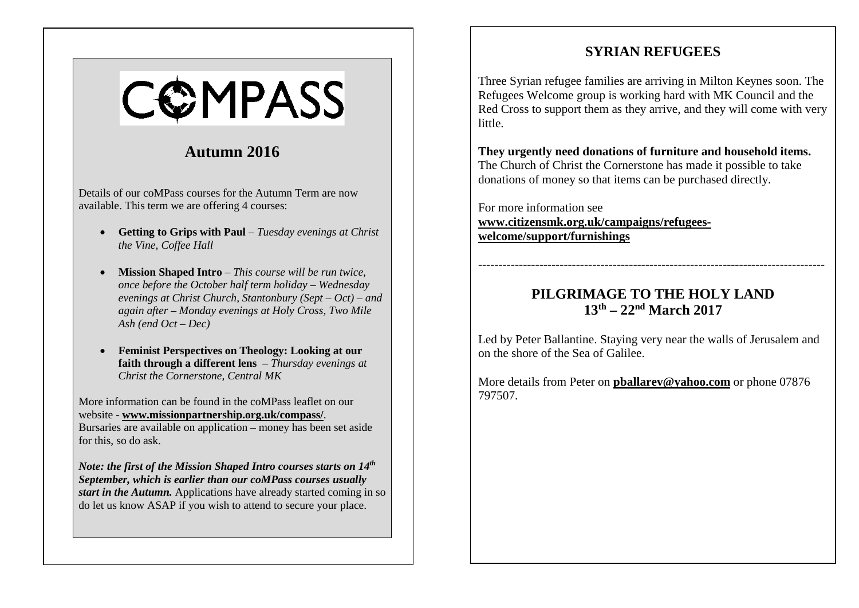#### **SYRIAN REFUGEES**

Three Syrian refugee families are arriving in Milton Keynes soon. The Refugees Welcome group is working hard with MK Council and the Red Cross to support them as they arrive, and they will come with very little.

**They urgently need donations of furniture and household items.** The Church of Christ the Cornerstone has made it possible to take donations of money so that items can be purchased directly.

For more information see **[www.citizensmk.org.uk/campaigns/refugees](http://www.citizensmk.org.uk/campaigns/refugees-welcome/support/furnishings)[welcome/support/furnishings](http://www.citizensmk.org.uk/campaigns/refugees-welcome/support/furnishings)**

### **PILGRIMAGE TO THE HOLY LAND 13th – 22nd March 2017**

-------------------------------------------------------------------------------------

Led by Peter Ballantine. Staying very near the walls of Jerusalem and on the shore of the Sea of Galilee.

More details from Peter on **[pballarev@yahoo.com](mailto:pballarev@yahoo.com)** or phone 07876 797507.

# COMPASS

## **Autumn 2016**

Details of our coMPass courses for the Autumn Term are now available. This term we are offering 4 courses:

- **Getting to Grips with Paul** *Tuesday evenings at Christ the Vine, Coffee Hall*
- **Mission Shaped Intro** *This course will be run twice, once before the October half term holiday – Wednesday evenings at Christ Church, Stantonbury (Sept – Oct) – and again after – Monday evenings at Holy Cross, Two Mile Ash (end Oct – Dec)*
- **Feminist Perspectives on Theology: Looking at our faith through a different lens** – *Thursday evenings at Christ the Cornerstone, Central MK*

More information can be found in the coMPass leaflet on our website - **www.missionpartnership.org.uk/compass/**. Bursaries are available on application – money has been set aside for this, so do ask.

*Note: the first of the Mission Shaped Intro courses starts on 14th September, which is earlier than our coMPass courses usually start in the Autumn.* Applications have already started coming in so do let us know ASAP if you wish to attend to secure your place.